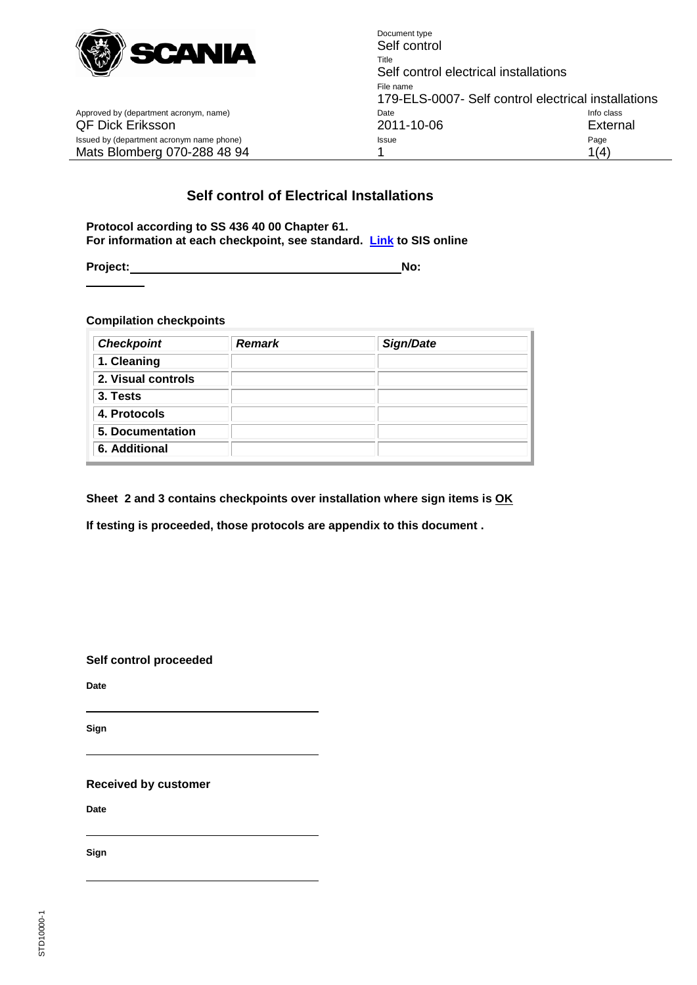

Approved by (department acronym, name)

Document type Self control Title Self control electrical installations File name 179-ELS-0007- Self control electrical installations<br>Date local control electrical installations QF Dick Eriksson 2011-10-06 External Issued by (department acronym name phone) and a state of the Issue Page Page Page Mats Blomberg 070-288 48 94 1 1(4)

### **Self control of Electrical Installations**

**Protocol according to SS 436 40 00 Chapter 61. For information at each checkpoint, see standard. [Link](http://online.sis.se/) to SIS online**

**Project:** No:

**Compilation checkpoints**

| <b>Checkpoint</b>  | <b>Remark</b> | Sign/Date |
|--------------------|---------------|-----------|
| 1. Cleaning        |               |           |
| 2. Visual controls |               |           |
| 3. Tests           |               |           |
| 4. Protocols       |               |           |
| 5. Documentation   |               |           |
| 6. Additional      |               |           |

**Sheet 2 and 3 contains checkpoints over installation where sign items is OK**

**If testing is proceeded, those protocols are appendix to this document .**

**Self control proceeded**

**Date**

**Sign**

**Received by customer**

**Date**

**Sign**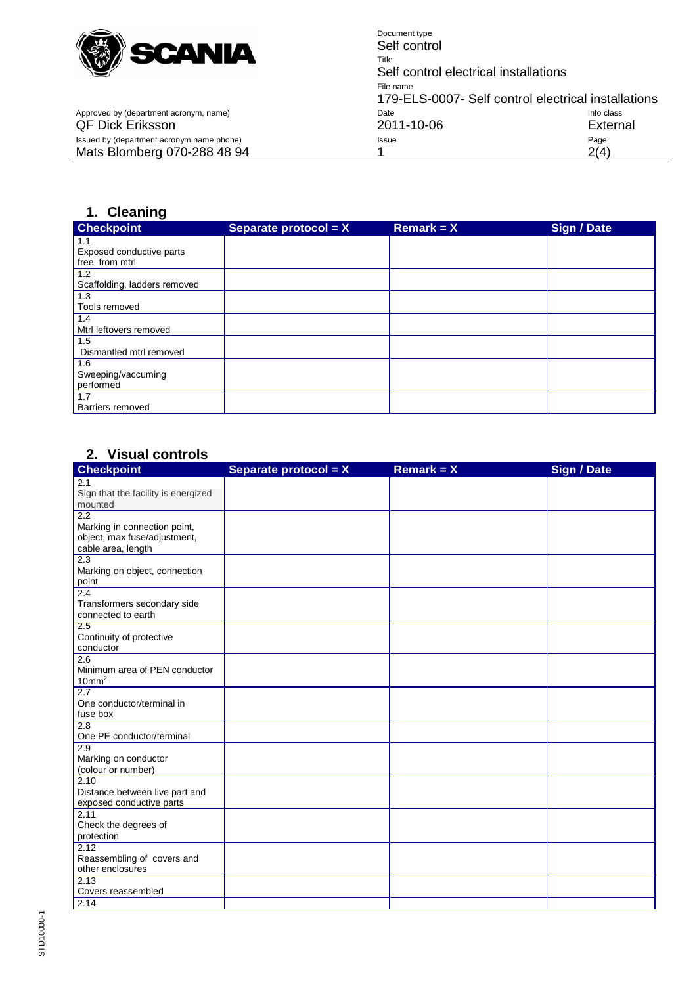

Document type Self control Title Self control electrical installations File name 179-ELS-0007- Self control electrical installations<br>Date Info class Approved by (department acronym, name) Date Info class QF Dick Eriksson 2011-10-06 External Issued by (department acronym name phone) and the extra state of the state of the Page Page Page Page Mats Blomberg 070-288 48 94 1 2(4)

## **1. Cleaning**

| <b>Checkpoint</b>            | Separate protocol = X | Remark = $X$ | <b>Sign / Date</b> |
|------------------------------|-----------------------|--------------|--------------------|
| 1.1                          |                       |              |                    |
| Exposed conductive parts     |                       |              |                    |
| free from mtrl               |                       |              |                    |
| 1.2                          |                       |              |                    |
| Scaffolding, ladders removed |                       |              |                    |
| 1.3                          |                       |              |                    |
| Tools removed                |                       |              |                    |
| 1.4                          |                       |              |                    |
| Mtrl leftovers removed       |                       |              |                    |
| 1.5                          |                       |              |                    |
| Dismantled mtrl removed      |                       |              |                    |
| 1.6                          |                       |              |                    |
| Sweeping/vaccuming           |                       |              |                    |
| performed                    |                       |              |                    |
| 1.7                          |                       |              |                    |
| Barriers removed             |                       |              |                    |

#### **2. Visual controls**

| <b>Checkpoint</b>                          | Separate protocol = X | Remark = $X$ | <b>Sign / Date</b> |
|--------------------------------------------|-----------------------|--------------|--------------------|
| 2.1                                        |                       |              |                    |
| Sign that the facility is energized        |                       |              |                    |
| mounted                                    |                       |              |                    |
| 2.2                                        |                       |              |                    |
| Marking in connection point,               |                       |              |                    |
| object, max fuse/adjustment,               |                       |              |                    |
| cable area, length                         |                       |              |                    |
| 2.3                                        |                       |              |                    |
| Marking on object, connection              |                       |              |                    |
| point                                      |                       |              |                    |
| 2.4                                        |                       |              |                    |
| Transformers secondary side                |                       |              |                    |
| connected to earth                         |                       |              |                    |
| 2.5                                        |                       |              |                    |
| Continuity of protective                   |                       |              |                    |
| conductor                                  |                       |              |                    |
| 2.6                                        |                       |              |                    |
| Minimum area of PEN conductor              |                       |              |                    |
| 10mm <sup>2</sup>                          |                       |              |                    |
| $\overline{2.7}$                           |                       |              |                    |
| One conductor/terminal in                  |                       |              |                    |
| fuse box                                   |                       |              |                    |
| 2.8<br>One PE conductor/terminal           |                       |              |                    |
| 2.9                                        |                       |              |                    |
|                                            |                       |              |                    |
| Marking on conductor<br>(colour or number) |                       |              |                    |
| 2.10                                       |                       |              |                    |
| Distance between live part and             |                       |              |                    |
| exposed conductive parts                   |                       |              |                    |
| 2.11                                       |                       |              |                    |
| Check the degrees of                       |                       |              |                    |
| protection                                 |                       |              |                    |
| 2.12                                       |                       |              |                    |
| Reassembling of covers and                 |                       |              |                    |
| other enclosures                           |                       |              |                    |
| 2.13                                       |                       |              |                    |
| Covers reassembled                         |                       |              |                    |
| 2.14                                       |                       |              |                    |
|                                            |                       |              |                    |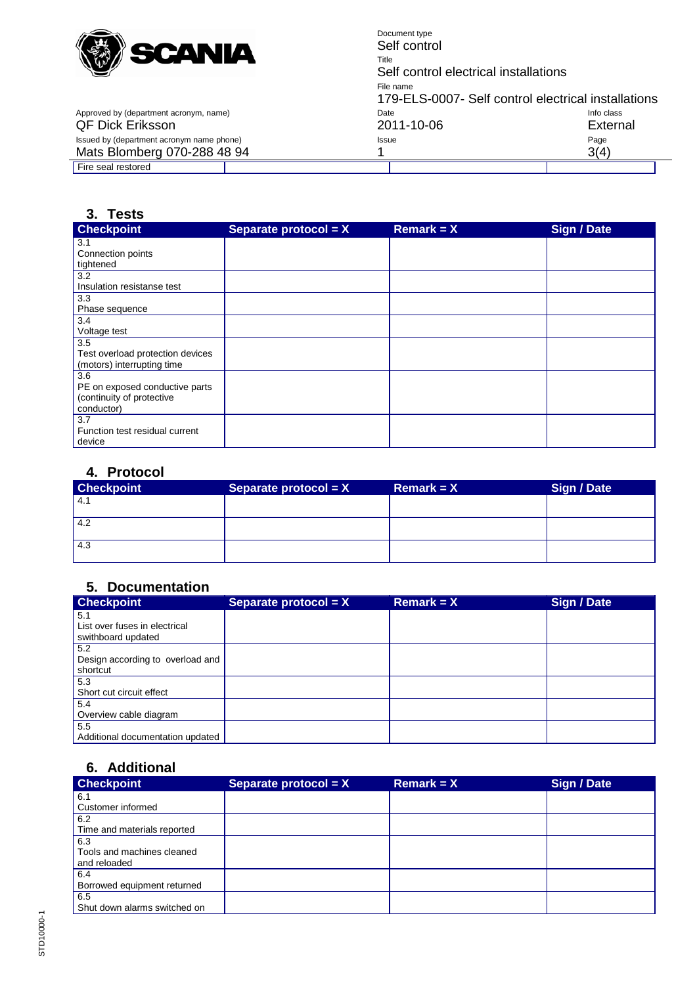

Document type Self control Title Self control electrical installations File name 179-ELS-0007- Self control electrical installations<br>Date Info class Approved by (department acronym, name) and the Date Date Date Deck of Class of the class of Date Info class and Date Dick External Deck of Dick External Deck of Dick External Deck of Dick External Deck of Dick External Dec QF Dick Eriksson External Control of the 2011-10-06 External External Superior Control of the External Superior Control of the Page of the Page of the Page of the Page of the Page of the Page of the Page of the Control of Issued by (department acronym name phone) and the extra state of the state of the Page Page Page Page Mats Blomberg 070-288 48 94 1 3(4)

Fire seal restored

#### **3. Tests**

| <b>Checkpoint</b>                | Separate protocol = $X$ | $Remark = X$ | Sign / Date |
|----------------------------------|-------------------------|--------------|-------------|
| 3.1                              |                         |              |             |
| Connection points                |                         |              |             |
| tightened                        |                         |              |             |
| 3.2                              |                         |              |             |
| Insulation resistanse test       |                         |              |             |
| 3.3                              |                         |              |             |
| Phase sequence                   |                         |              |             |
| 3.4                              |                         |              |             |
| Voltage test                     |                         |              |             |
| 3.5                              |                         |              |             |
| Test overload protection devices |                         |              |             |
| (motors) interrupting time       |                         |              |             |
| 3.6                              |                         |              |             |
| PE on exposed conductive parts   |                         |              |             |
| (continuity of protective        |                         |              |             |
| conductor)                       |                         |              |             |
| 3.7                              |                         |              |             |
| Function test residual current   |                         |              |             |
| device                           |                         |              |             |

# **4. Protocol**

| <b>Checkpoint</b> | Separate protocol = $X$ | $Remark = X$ | Sign / Date |
|-------------------|-------------------------|--------------|-------------|
| 4.1               |                         |              |             |
| 4.2               |                         |              |             |
| 4.3               |                         |              |             |

### **5. Documentation**

| <b>Checkpoint</b>                | Separate protocol = $X$ | $Remark = X$ | Sign / Date |
|----------------------------------|-------------------------|--------------|-------------|
| 5.1                              |                         |              |             |
| List over fuses in electrical    |                         |              |             |
| swithboard updated               |                         |              |             |
| 5.2                              |                         |              |             |
| Design according to overload and |                         |              |             |
| shortcut                         |                         |              |             |
| 5.3                              |                         |              |             |
| Short cut circuit effect         |                         |              |             |
| 5.4                              |                         |              |             |
| Overview cable diagram           |                         |              |             |
| 5.5                              |                         |              |             |
| Additional documentation updated |                         |              |             |

### **6. Additional**

| <b>Checkpoint</b>            | Separate protocol = $X$ | $Remark = X$ | <b>Sign / Date</b> |
|------------------------------|-------------------------|--------------|--------------------|
| 6.1                          |                         |              |                    |
| Customer informed            |                         |              |                    |
| 6.2                          |                         |              |                    |
| Time and materials reported  |                         |              |                    |
| 6.3                          |                         |              |                    |
| Tools and machines cleaned   |                         |              |                    |
| and reloaded                 |                         |              |                    |
| 6.4                          |                         |              |                    |
| Borrowed equipment returned  |                         |              |                    |
| 6.5                          |                         |              |                    |
| Shut down alarms switched on |                         |              |                    |